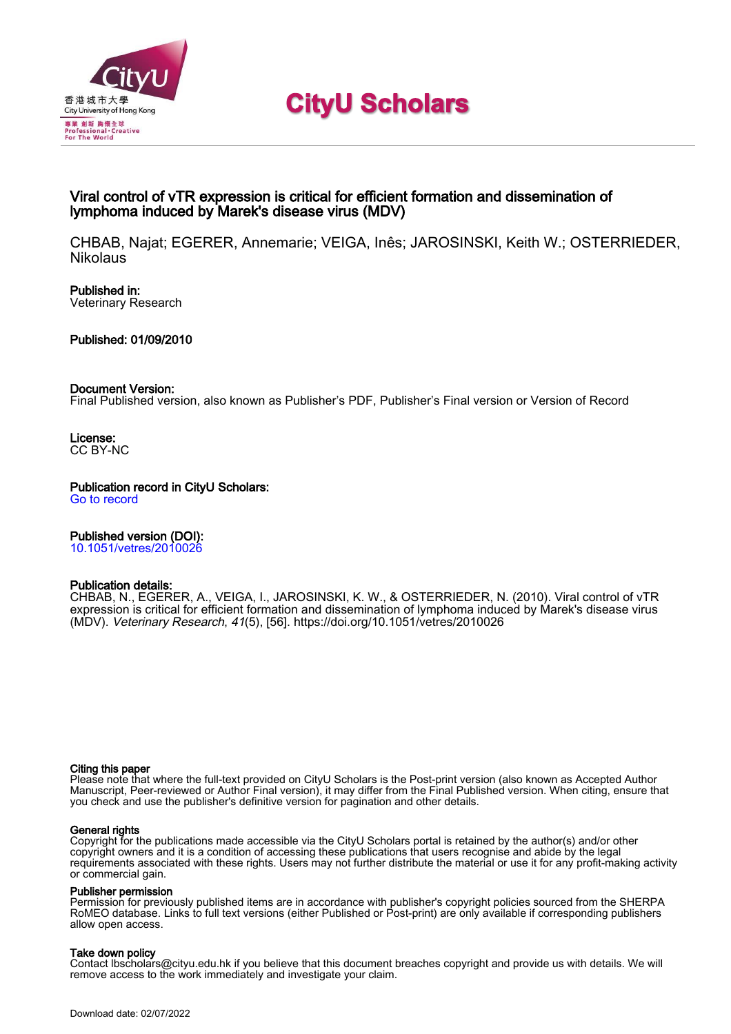

# **CityU Scholars**

# Viral control of vTR expression is critical for efficient formation and dissemination of lymphoma induced by Marek's disease virus (MDV)

CHBAB, Najat; EGERER, Annemarie; VEIGA, Inês; JAROSINSKI, Keith W.; OSTERRIEDER, **Nikolaus** 

Published in: Veterinary Research

Published: 01/09/2010

## Document Version:

Final Published version, also known as Publisher's PDF, Publisher's Final version or Version of Record

License: CC BY-NC

Publication record in CityU Scholars: [Go to record](https://scholars.cityu.edu.hk/en/publications/viral-control-of-vtr-expression-is-critical-for-efficient-formation-and-dissemination-of-lymphoma-induced-by-mareks-disease-virus-mdv(d982a970-3293-44ae-95ba-e5ff93b09ba5).html)

# Published version (DOI):

[10.1051/vetres/2010026](https://doi.org/10.1051/vetres/2010026)

# Publication details:

CHBAB, N., EGERER, A., VEIGA, I., JAROSINSKI, K. W.[, & OSTERRIEDER, N.](https://scholars.cityu.edu.hk/en/persons/nikolaus-osterrieder(728c7dcd-8432-48df-a5e7-d1d6cbe53ddd).html) (2010). [Viral control of vTR](https://scholars.cityu.edu.hk/en/publications/viral-control-of-vtr-expression-is-critical-for-efficient-formation-and-dissemination-of-lymphoma-induced-by-mareks-disease-virus-mdv(d982a970-3293-44ae-95ba-e5ff93b09ba5).html) [expression is critical for efficient formation and dissemination of lymphoma induced by Marek's disease virus](https://scholars.cityu.edu.hk/en/publications/viral-control-of-vtr-expression-is-critical-for-efficient-formation-and-dissemination-of-lymphoma-induced-by-mareks-disease-virus-mdv(d982a970-3293-44ae-95ba-e5ff93b09ba5).html) [\(MDV\).](https://scholars.cityu.edu.hk/en/publications/viral-control-of-vtr-expression-is-critical-for-efficient-formation-and-dissemination-of-lymphoma-induced-by-mareks-disease-virus-mdv(d982a970-3293-44ae-95ba-e5ff93b09ba5).html) [Veterinary Research](https://scholars.cityu.edu.hk/en/journals/veterinary-research(28c49b11-d9fc-4909-98bd-d435fccc5a08)/publications.html), 41(5), [56].<https://doi.org/10.1051/vetres/2010026>

#### Citing this paper

Please note that where the full-text provided on CityU Scholars is the Post-print version (also known as Accepted Author Manuscript, Peer-reviewed or Author Final version), it may differ from the Final Published version. When citing, ensure that you check and use the publisher's definitive version for pagination and other details.

## General rights

Copyright for the publications made accessible via the CityU Scholars portal is retained by the author(s) and/or other copyright owners and it is a condition of accessing these publications that users recognise and abide by the legal requirements associated with these rights. Users may not further distribute the material or use it for any profit-making activity or commercial gain.

## Publisher permission

Permission for previously published items are in accordance with publisher's copyright policies sourced from the SHERPA RoMEO database. Links to full text versions (either Published or Post-print) are only available if corresponding publishers allow open access.

## Take down policy

Contact lbscholars@cityu.edu.hk if you believe that this document breaches copyright and provide us with details. We will remove access to the work immediately and investigate your claim.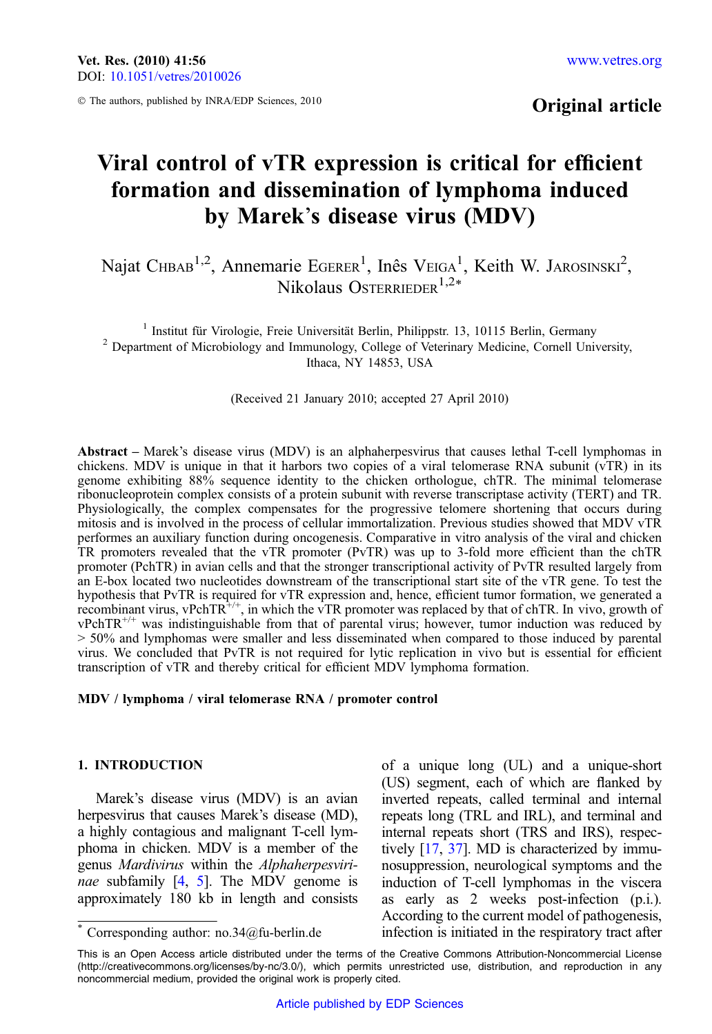© The authors, published by INRA/EDP Sciences, 2010

# Original article

# Viral control of vTR expression is critical for efficient formation and dissemination of lymphoma induced by Marek's disease virus (MDV)

Najat CHBAB<sup>1,2</sup>, Annemarie EGERER<sup>1</sup>, Inês VEIGA<sup>1</sup>, Keith W. JAROSINSKI<sup>2</sup>, Nikolaus Osterrieder<sup>1,2\*</sup>

<sup>1</sup> Institut für Virologie, Freie Universität Berlin, Philippstr. 13, 10115 Berlin, Germany <sup>2</sup> Department of Microbiology and Immunology, College of Veterinary Medicine, Cornell University, Ithaca, NY 14853, USA

(Received 21 January 2010; accepted 27 April 2010)

Abstract – Marek's disease virus (MDV) is an alphaherpesvirus that causes lethal T-cell lymphomas in chickens. MDV is unique in that it harbors two copies of a viral telomerase RNA subunit ( $vTR$ ) in its genome exhibiting 88% sequence identity to the chicken orthologue, chTR. The minimal telomerase ribonucleoprotein complex consists of a protein subunit with reverse transcriptase activity (TERT) and TR. Physiologically, the complex compensates for the progressive telomere shortening that occurs during mitosis and is involved in the process of cellular immortalization. Previous studies showed that MDV vTR performes an auxiliary function during oncogenesis. Comparative in vitro analysis of the viral and chicken TR promoters revealed that the vTR promoter (PvTR) was up to 3-fold more efficient than the chTR promoter (PchTR) in avian cells and that the stronger transcriptional activity of PvTR resulted largely from an E-box located two nucleotides downstream of the transcriptional start site of the vTR gene. To test the hypothesis that PvTR is required for vTR expression and, hence, efficient tumor formation, we generated a recombinant virus, vPchTR<sup>+/+</sup>, in which the vTR promoter was replaced by that of chTR. In vivo, growth of  $vPchTR^{+/+}$  was indistinguishable from that of parental virus; however, tumor induction was reduced by > 50% and lymphomas were smaller and less disseminated when compared to those induced by parental virus. We concluded that PvTR is not required for lytic replication in vivo but is essential for efficient transcription of vTR and thereby critical for efficient MDV lymphoma formation.

#### MDV / lymphoma / viral telomerase RNA / promoter control

#### 1. INTRODUCTION

Marek's disease virus (MDV) is an avian herpesvirus that causes Marek's disease (MD), a highly contagious and malignant T-cell lymphoma in chicken. MDV is a member of the genus Mardivirus within the Alphaherpesviri-nae subfamily [[4,](#page-11-0) [5](#page-11-0)]. The MDV genome is approximately 180 kb in length and consists

of a unique long (UL) and a unique-short (US) segment, each of which are flanked by inverted repeats, called terminal and internal repeats long (TRL and IRL), and terminal and internal repeats short (TRS and IRS), respectively [\[17,](#page-11-0) [37](#page-12-0)]. MD is characterized by immunosuppression, neurological symptoms and the induction of T-cell lymphomas in the viscera as early as 2 weeks post-infection (p.i.). According to the current model of pathogenesis, infection is initiated in the respiratory tract after \* Corresponding author: no.34@fu-berlin.de

This is an Open Access article distributed under the terms of the Creative Commons Attribution-Noncommercial License (http://creativecommons.org/licenses/by-nc/3.0/), which permits unrestricted use, distribution, and reproduction in any noncommercial medium, provided the original work is properly cited.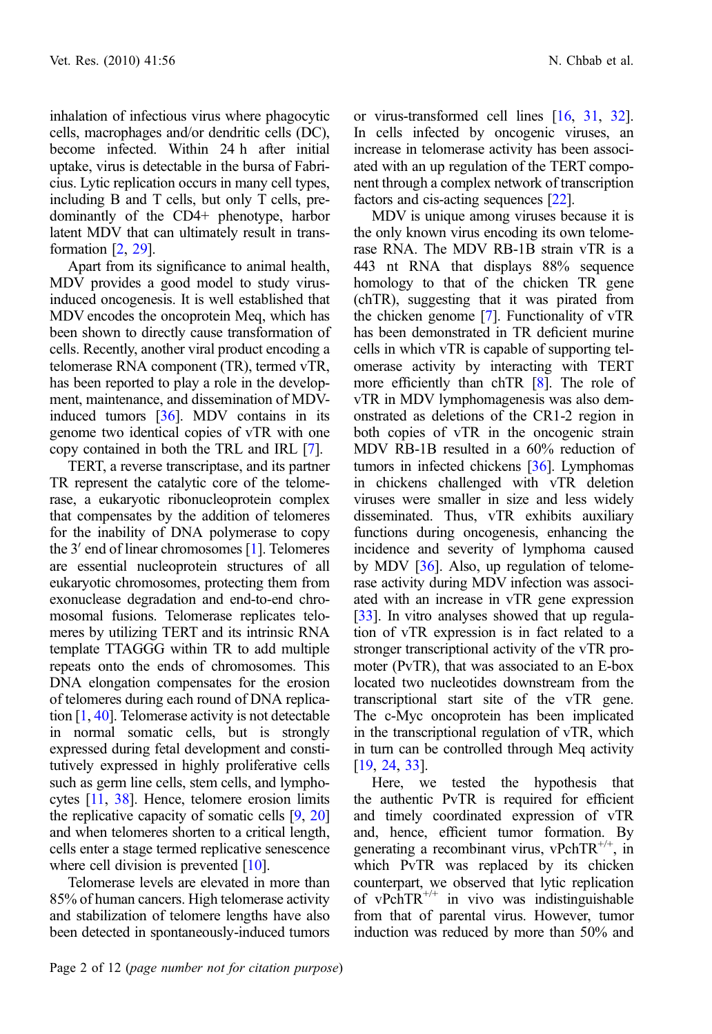inhalation of infectious virus where phagocytic cells, macrophages and/or dendritic cells (DC), become infected. Within 24 h after initial uptake, virus is detectable in the bursa of Fabricius. Lytic replication occurs in many cell types, including B and T cells, but only T cells, predominantly of the CD4+ phenotype, harbor latent MDV that can ultimately result in transformation [[2](#page-11-0), [29\]](#page-12-0).

Apart from its significance to animal health, MDV provides a good model to study virusinduced oncogenesis. It is well established that MDV encodes the oncoprotein Meq, which has been shown to directly cause transformation of cells. Recently, another viral product encoding a telomerase RNA component (TR), termed vTR, has been reported to play a role in the development, maintenance, and dissemination of MDVinduced tumors [\[36](#page-12-0)]. MDV contains in its genome two identical copies of vTR with one copy contained in both the TRL and IRL [\[7\]](#page-11-0).

TERT, a reverse transcriptase, and its partner TR represent the catalytic core of the telomerase, a eukaryotic ribonucleoprotein complex that compensates by the addition of telomeres for the inability of DNA polymerase to copy the  $3'$  end of linear chromosomes [[1](#page-11-0)]. Telomeres are essential nucleoprotein structures of all eukaryotic chromosomes, protecting them from exonuclease degradation and end-to-end chromosomal fusions. Telomerase replicates telomeres by utilizing TERT and its intrinsic RNA template TTAGGG within TR to add multiple repeats onto the ends of chromosomes. This DNA elongation compensates for the erosion of telomeres during each round of DNA replication [[1](#page-11-0), [40\]](#page-12-0). Telomerase activity is not detectable in normal somatic cells, but is strongly expressed during fetal development and constitutively expressed in highly proliferative cells such as germ line cells, stem cells, and lymphocytes [\[11,](#page-11-0) [38\]](#page-12-0). Hence, telomere erosion limits the replicative capacity of somatic cells  $[9, 20]$  $[9, 20]$  $[9, 20]$ and when telomeres shorten to a critical length, cells enter a stage termed replicative senescence where cell division is prevented [\[10](#page-11-0)].

Telomerase levels are elevated in more than 85% of human cancers. High telomerase activity and stabilization of telomere lengths have also been detected in spontaneously-induced tumors or virus-transformed cell lines [\[16,](#page-11-0) [31](#page-12-0), [32](#page-12-0)]. In cells infected by oncogenic viruses, an increase in telomerase activity has been associated with an up regulation of the TERT component through a complex network of transcription factors and cis-acting sequences [[22\]](#page-12-0).

MDV is unique among viruses because it is the only known virus encoding its own telomerase RNA. The MDV RB-1B strain vTR is a 443 nt RNA that displays 88% sequence homology to that of the chicken TR gene (chTR), suggesting that it was pirated from the chicken genome [[7\]](#page-11-0). Functionality of vTR has been demonstrated in TR deficient murine cells in which vTR is capable of supporting telomerase activity by interacting with TERT more efficiently than chTR [[8\]](#page-11-0). The role of vTR in MDV lymphomagenesis was also demonstrated as deletions of the CR1-2 region in both copies of vTR in the oncogenic strain MDV RB-1B resulted in a 60% reduction of tumors in infected chickens [[36](#page-12-0)]. Lymphomas in chickens challenged with vTR deletion viruses were smaller in size and less widely disseminated. Thus, vTR exhibits auxiliary functions during oncogenesis, enhancing the incidence and severity of lymphoma caused by MDV [\[36\]](#page-12-0). Also, up regulation of telomerase activity during MDV infection was associated with an increase in vTR gene expression [[33](#page-12-0)]. In vitro analyses showed that up regulation of vTR expression is in fact related to a stronger transcriptional activity of the vTR promoter (PvTR), that was associated to an E-box located two nucleotides downstream from the transcriptional start site of the vTR gene. The c-Myc oncoprotein has been implicated in the transcriptional regulation of vTR, which in turn can be controlled through Meq activity [[19](#page-12-0), [24,](#page-12-0) [33\]](#page-12-0).

Here, we tested the hypothesis that the authentic PvTR is required for efficient and timely coordinated expression of vTR and, hence, efficient tumor formation. By generating a recombinant virus, vPchTR<sup>+/+</sup>, in which PvTR was replaced by its chicken counterpart, we observed that lytic replication of vPchTR<sup> $^{+/+}$ </sup> in vivo was indistinguishable from that of parental virus. However, tumor induction was reduced by more than 50% and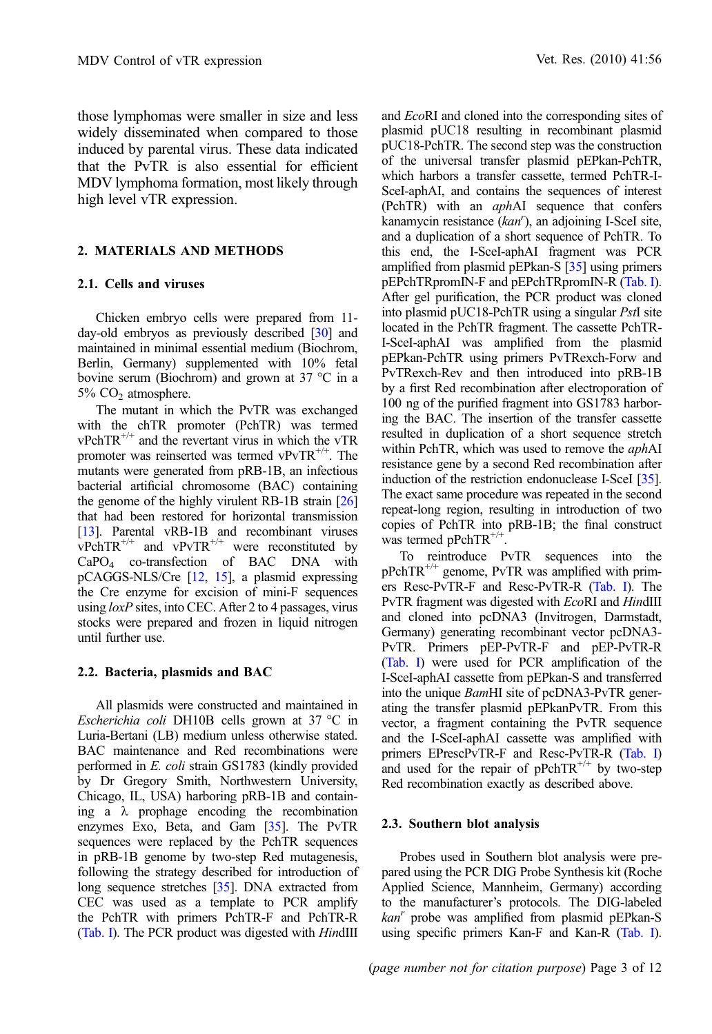those lymphomas were smaller in size and less widely disseminated when compared to those induced by parental virus. These data indicated that the PvTR is also essential for efficient MDV lymphoma formation, most likely through high level vTR expression.

#### 2. MATERIALS AND METHODS

#### 2.1. Cells and viruses

Chicken embryo cells were prepared from 11- day-old embryos as previously described [\[30\]](#page-12-0) and maintained in minimal essential medium (Biochrom, Berlin, Germany) supplemented with 10% fetal bovine serum (Biochrom) and grown at 37  $^{\circ}$ C in a  $5\%$  CO<sub>2</sub> atmosphere.

The mutant in which the PvTR was exchanged with the chTR promoter (PchTR) was termed  $vPchTR^{+/+}$  and the revertant virus in which the vTR promoter was reinserted was termed  $vPvTR^{+/+}$ . The mutants were generated from pRB-1B, an infectious bacterial artificial chromosome (BAC) containing the genome of the highly virulent RB-1B strain [[26](#page-12-0)] that had been restored for horizontal transmission [[13](#page-11-0)]. Parental vRB-1B and recombinant viruses  $vPchTR^{+/+}$  and  $vPvTR^{+/+}$  were reconstituted by CaPO4 co-transfection of BAC DNA with pCAGGS-NLS/Cre [[12,](#page-11-0) [15\]](#page-11-0), a plasmid expressing the Cre enzyme for excision of mini-F sequences using  $loxP$  sites, into CEC. After 2 to 4 passages, virus stocks were prepared and frozen in liquid nitrogen until further use.

#### 2.2. Bacteria, plasmids and BAC

All plasmids were constructed and maintained in Escherichia coli DH10B cells grown at 37  $^{\circ}$ C in Luria-Bertani (LB) medium unless otherwise stated. BAC maintenance and Red recombinations were performed in E. coli strain GS1783 (kindly provided by Dr Gregory Smith, Northwestern University, Chicago, IL, USA) harboring pRB-1B and containing a  $\lambda$  prophage encoding the recombination enzymes Exo, Beta, and Gam [\[35\]](#page-12-0). The PvTR sequences were replaced by the PchTR sequences in pRB-1B genome by two-step Red mutagenesis, following the strategy described for introduction of long sequence stretches [[35](#page-12-0)]. DNA extracted from CEC was used as a template to PCR amplify the PchTR with primers PchTR-F and PchTR-R ([Tab. I\)](#page-4-0). The PCR product was digested with HindIII

and EcoRI and cloned into the corresponding sites of plasmid pUC18 resulting in recombinant plasmid pUC18-PchTR. The second step was the construction of the universal transfer plasmid pEPkan-PchTR, which harbors a transfer cassette, termed PchTR-I-SceI-aphAI, and contains the sequences of interest (PchTR) with an *aphAI* sequence that confers kanamycin resistance  $(kan')$ , an adjoining I-SceI site, and a duplication of a short sequence of PchTR. To this end, the I-SceI-aphAI fragment was PCR amplified from plasmid pEPkan-S [\[35\]](#page-12-0) using primers pEPchTRpromIN-F and pEPchTRpromIN-R [\(Tab. I](#page-4-0)). After gel purification, the PCR product was cloned into plasmid pUC18-PchTR using a singular PstI site located in the PchTR fragment. The cassette PchTR-I-SceI-aphAI was amplified from the plasmid pEPkan-PchTR using primers PvTRexch-Forw and PvTRexch-Rev and then introduced into pRB-1B by a first Red recombination after electroporation of 100 ng of the purified fragment into GS1783 harboring the BAC. The insertion of the transfer cassette resulted in duplication of a short sequence stretch within PchTR, which was used to remove the aphAI resistance gene by a second Red recombination after induction of the restriction endonuclease I-SceI [\[35](#page-12-0)]. The exact same procedure was repeated in the second repeat-long region, resulting in introduction of two copies of PchTR into pRB-1B; the final construct was termed  $pPchTR^{+/+}$ .

To reintroduce PvTR sequences into the pPchTR+/+ genome, PvTR was amplified with primers Resc-PvTR-F and Resc-PvTR-R [\(Tab. I](#page-4-0)). The PvTR fragment was digested with EcoRI and HindIII and cloned into pcDNA3 (Invitrogen, Darmstadt, Germany) generating recombinant vector pcDNA3- PvTR. Primers pEP-PvTR-F and pEP-PvTR-R ([Tab. I](#page-4-0)) were used for PCR amplification of the I-SceI-aphAI cassette from pEPkan-S and transferred into the unique BamHI site of pcDNA3-PvTR generating the transfer plasmid pEPkanPvTR. From this vector, a fragment containing the PvTR sequence and the I-SceI-aphAI cassette was amplified with primers EPrescPvTR-F and Resc-PvTR-R [\(Tab. I](#page-4-0)) and used for the repair of  $pPchTR^{+/+}$  by two-step Red recombination exactly as described above.

#### 2.3. Southern blot analysis

Probes used in Southern blot analysis were prepared using the PCR DIG Probe Synthesis kit (Roche Applied Science, Mannheim, Germany) according to the manufacturer's protocols. The DIG-labeled  $kan<sup>r</sup>$  probe was amplified from plasmid pEPkan-S using specific primers Kan-F and Kan-R [\(Tab. I](#page-4-0)).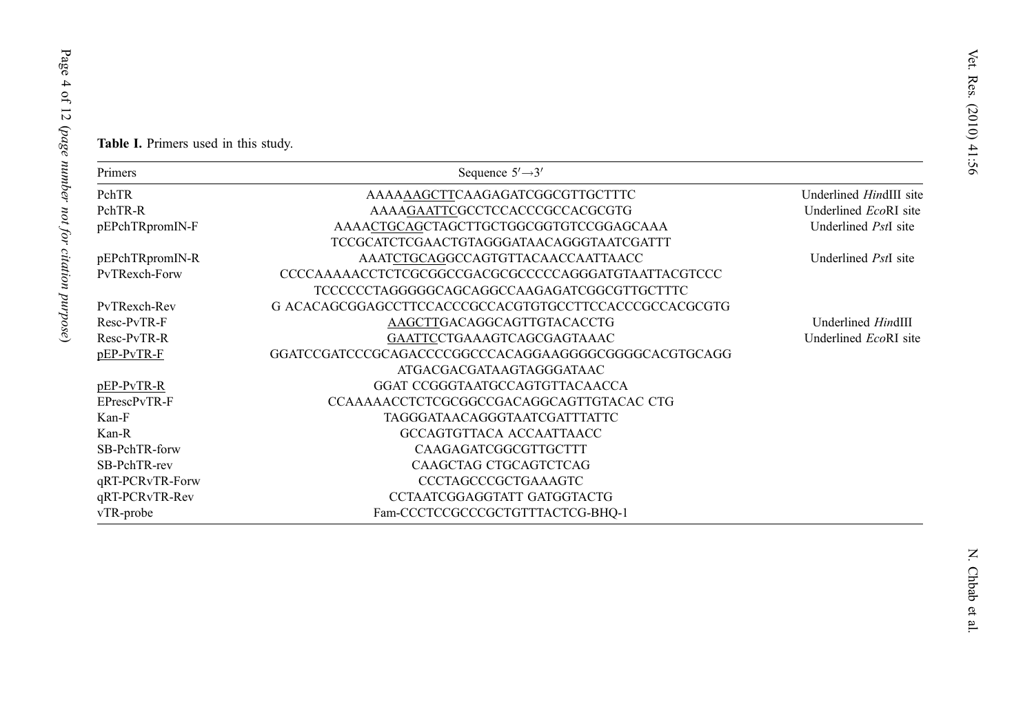Table I. Primers used in this study.

| Primers         | Sequence $5'\rightarrow 3'$                           |                                |
|-----------------|-------------------------------------------------------|--------------------------------|
| PchTR           | AAAAAAGCTTCAAGAGATCGGCGTTGCTTTC                       | Underlined <i>HindIII</i> site |
| PchTR-R         | AAAAGAATTCGCCTCCACCCGCCACGCGTG                        | Underlined EcoRI site          |
| pEPchTRpromIN-F | AAAACTGCAGCTAGCTTGCTGGCGGTGTCCGGAGCAAA                | Underlined <i>PstI</i> site    |
|                 | TCCGCATCTCGAACTGTAGGGATAACAGGGTAATCGATTT              |                                |
| pEPchTRpromIN-R | AAATCTGCAGGCCAGTGTTACAACCAATTAACC                     | Underlined PstI site           |
| PvTRexch-Forw   | CCCCAAAAACCTCTCGCGGCCGACGCGCCCCCAGGGATGTAATTACGTCCC   |                                |
|                 | TCCCCCCTAGGGGGCAGCAGGCCAAGAGATCGGCGTTGCTTTC           |                                |
| PvTRexch-Rev    | G ACACAGCGGAGCCTTCCACCCGCCACGTGTGCCTTCCACCCGCCACGCGTG |                                |
| Resc-PvTR-F     | AAGCTTGACAGGCAGTTGTACACCTG                            | Underlined HindIII             |
| Resc-PvTR-R     | GAATTCCTGAAAGTCAGCGAGTAAAC                            | Underlined EcoRI site          |
| pEP-PvTR-F      | GGATCCGATCCCGCAGACCCCGGCCCACAGGAAGGGGCGGGGCACGTGCAGG  |                                |
|                 | ATGACGACGATAAGTAGGGATAAC                              |                                |
| pEP-PvTR-R      | GGAT CCGGGTAATGCCAGTGTTACAACCA                        |                                |
| EPrescPvTR-F    | CCAAAAACCTCTCGCGGCCGACAGGCAGTTGTACAC CTG              |                                |
| Kan-F           | TAGGGATAACAGGGTAATCGATTTATTC                          |                                |
| Kan-R           | GCCAGTGTTACA ACCAATTAACC                              |                                |
| SB-PchTR-forw   | CAAGAGATCGGCGTTGCTTT                                  |                                |
| SB-PchTR-rev    | CAAGCTAG CTGCAGTCTCAG                                 |                                |
| qRT-PCRvTR-Forw | <b>CCCTAGCCCGCTGAAAGTC</b>                            |                                |
| qRT-PCRvTR-Rev  | CCTAATCGGAGGTATT GATGGTACTG                           |                                |
| vTR-probe       | Fam-CCCTCCGCCCGCTGTTTACTCG-BHQ-1                      |                                |

Page 4 of 12 (

page number not for citation purpose

<span id="page-4-0"></span>Page 4 of 12 (page number not for citation purpose)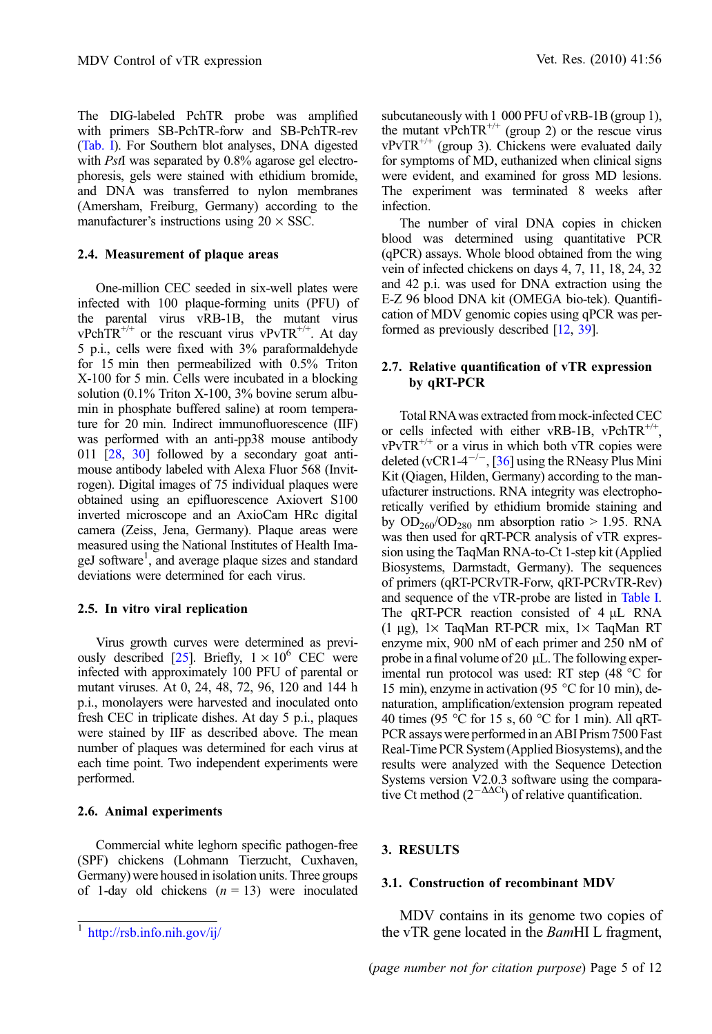The DIG-labeled PchTR probe was amplified with primers SB-PchTR-forw and SB-PchTR-rev ([Tab. I\)](#page-4-0). For Southern blot analyses, DNA digested with *PstI* was separated by 0.8% agarose gel electrophoresis, gels were stained with ethidium bromide, and DNA was transferred to nylon membranes (Amersham, Freiburg, Germany) according to the manufacturer's instructions using  $20 \times$  SSC.

#### 2.4. Measurement of plaque areas

One-million CEC seeded in six-well plates were infected with 100 plaque-forming units (PFU) of the parental virus vRB-1B, the mutant virus vPchTR<sup>+/+</sup> or the rescuant virus vPvTR<sup>+/+</sup>. At day 5 p.i., cells were fixed with 3% paraformaldehyde for 15 min then permeabilized with 0.5% Triton X-100 for 5 min. Cells were incubated in a blocking solution (0.1% Triton X-100, 3% bovine serum albumin in phosphate buffered saline) at room temperature for 20 min. Indirect immunofluorescence (IIF) was performed with an anti-pp38 mouse antibody 011 [\[28,](#page-12-0) [30\]](#page-12-0) followed by a secondary goat antimouse antibody labeled with Alexa Fluor 568 (Invitrogen). Digital images of 75 individual plaques were obtained using an epifluorescence Axiovert S100 inverted microscope and an AxioCam HRc digital camera (Zeiss, Jena, Germany). Plaque areas were measured using the National Institutes of Health ImageJ software<sup>1</sup>, and average plaque sizes and standard deviations were determined for each virus.

#### 2.5. In vitro viral replication

Virus growth curves were determined as previ-ously described [\[25](#page-12-0)]. Briefly,  $1 \times 10^6$  CEC were infected with approximately 100 PFU of parental or mutant viruses. At 0, 24, 48, 72, 96, 120 and 144 h p.i., monolayers were harvested and inoculated onto fresh CEC in triplicate dishes. At day 5 p.i., plaques were stained by IIF as described above. The mean number of plaques was determined for each virus at each time point. Two independent experiments were performed.

#### 2.6. Animal experiments

Commercial white leghorn specific pathogen-free (SPF) chickens (Lohmann Tierzucht, Cuxhaven, Germany) were housed in isolation units. Three groups of 1-day old chickens  $(n = 13)$  were inoculated

subcutaneously with 1 000 PFU of vRB-1B (group 1), the mutant vPchTR<sup>+/+</sup> (group 2) or the rescue virus  $vPvTR^{+/+}$  (group 3). Chickens were evaluated daily for symptoms of MD, euthanized when clinical signs were evident, and examined for gross MD lesions. The experiment was terminated 8 weeks after infection.

The number of viral DNA copies in chicken blood was determined using quantitative PCR (qPCR) assays. Whole blood obtained from the wing vein of infected chickens on days 4, 7, 11, 18, 24, 32 and 42 p.i. was used for DNA extraction using the E-Z 96 blood DNA kit (OMEGA bio-tek). Quantification of MDV genomic copies using qPCR was performed as previously described [\[12,](#page-11-0) [39\]](#page-12-0).

#### 2.7. Relative quantification of vTR expression by qRT-PCR

Total RNAwas extracted from mock-infected CEC or cells infected with either vRB-1B, vPchTR<sup>+/+</sup>.  $vPvTR^{+/+}$  or a virus in which both vTR copies were deleted (vCR1-4<sup>-/-</sup>, [\[36\]](#page-12-0) using the RNeasy Plus Mini Kit (Qiagen, Hilden, Germany) according to the manufacturer instructions. RNA integrity was electrophoretically verified by ethidium bromide staining and by  $OD_{260}/OD_{280}$  nm absorption ratio > 1.95. RNA was then used for qRT-PCR analysis of vTR expression using the TaqMan RNA-to-Ct 1-step kit (Applied Biosystems, Darmstadt, Germany). The sequences of primers (qRT-PCRvTR-Forw, qRT-PCRvTR-Rev) and sequence of the vTR-probe are listed in [Table I.](#page-4-0) The qRT-PCR reaction consisted of  $4 \mu L$  RNA (1 µg), 1× TaqMan RT-PCR mix, 1× TaqMan RT enzyme mix, 900 nM of each primer and 250 nM of probe in a final volume of 20  $\mu$ L. The following experimental run protocol was used: RT step (48  $^{\circ}$ C for 15 min), enzyme in activation (95 $\degree$ C for 10 min), denaturation, amplification/extension program repeated 40 times (95 °C for 15 s, 60 °C for 1 min). All qRT-PCR assays were performed in an ABI Prism 7500 Fast Real-Time PCR System (Applied Biosystems), and the results were analyzed with the Sequence Detection Systems version V2.0.3 software using the comparative Ct method  $(2^{-\Delta\Delta C})$  of relative quantification.

#### 3. RESULTS

#### 3.1. Construction of recombinant MDV

MDV contains in its genome two copies of  $t<sup>1</sup>$  <http://rsb.info.nih.gov/ij/> the vTR gene located in the BamHI L fragment,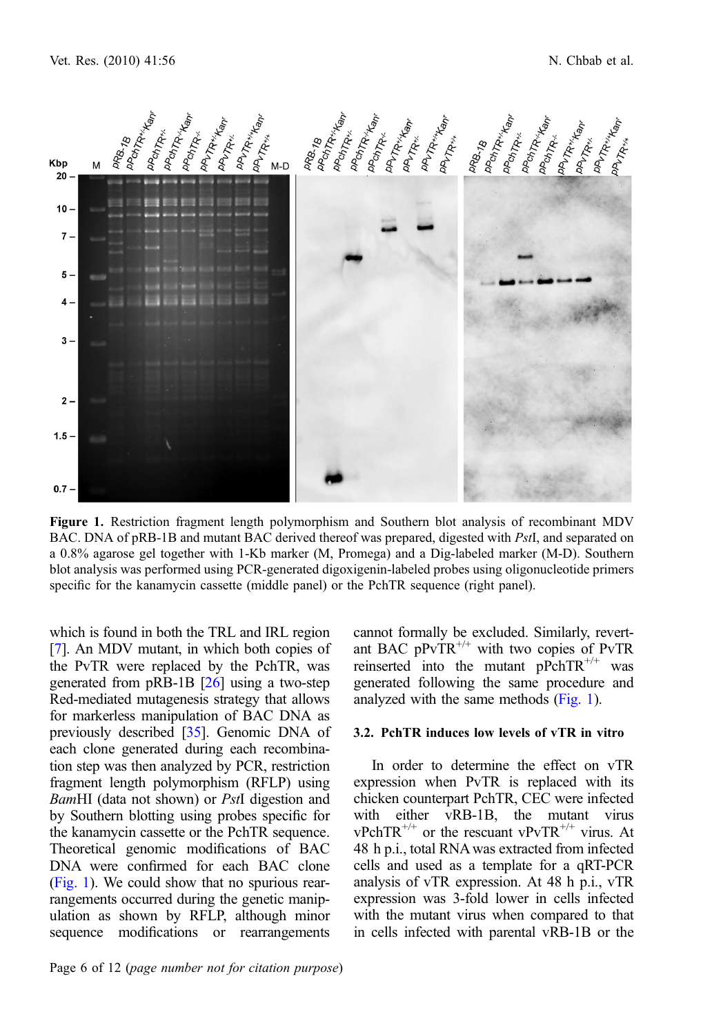

Figure 1. Restriction fragment length polymorphism and Southern blot analysis of recombinant MDV BAC. DNA of pRB-1B and mutant BAC derived thereof was prepared, digested with PstI, and separated on a 0.8% agarose gel together with 1-Kb marker (M, Promega) and a Dig-labeled marker (M-D). Southern blot analysis was performed using PCR-generated digoxigenin-labeled probes using oligonucleotide primers specific for the kanamycin cassette (middle panel) or the PchTR sequence (right panel).

which is found in both the TRL and IRL region [[7\]](#page-11-0). An MDV mutant, in which both copies of the PvTR were replaced by the PchTR, was generated from  $pRB-1B$   $[26]$  $[26]$  using a two-step Red-mediated mutagenesis strategy that allows for markerless manipulation of BAC DNA as previously described [\[35](#page-12-0)]. Genomic DNA of each clone generated during each recombination step was then analyzed by PCR, restriction fragment length polymorphism (RFLP) using BamHI (data not shown) or PstI digestion and by Southern blotting using probes specific for the kanamycin cassette or the PchTR sequence. Theoretical genomic modifications of BAC DNA were confirmed for each BAC clone (Fig. 1). We could show that no spurious rearrangements occurred during the genetic manipulation as shown by RFLP, although minor sequence modifications or rearrangements

Page 6 of 12 (page number not for citation purpose)

cannot formally be excluded. Similarly, revertant BAC  $pPvTR^{+/+}$  with two copies of PvTR reinserted into the mutant  $pPchTR^{+/+}$  was generated following the same procedure and analyzed with the same methods (Fig. 1).

#### 3.2. PchTR induces low levels of vTR in vitro

In order to determine the effect on vTR expression when PvTR is replaced with its chicken counterpart PchTR, CEC were infected with either vRB-1B, the mutant virus  $vPchTR^{+/+}$  or the rescuant  $vPvTR^{+/+}$  virus. At 48 h p.i., total RNA was extracted from infected cells and used as a template for a qRT-PCR analysis of vTR expression. At 48 h p.i., vTR expression was 3-fold lower in cells infected with the mutant virus when compared to that in cells infected with parental vRB-1B or the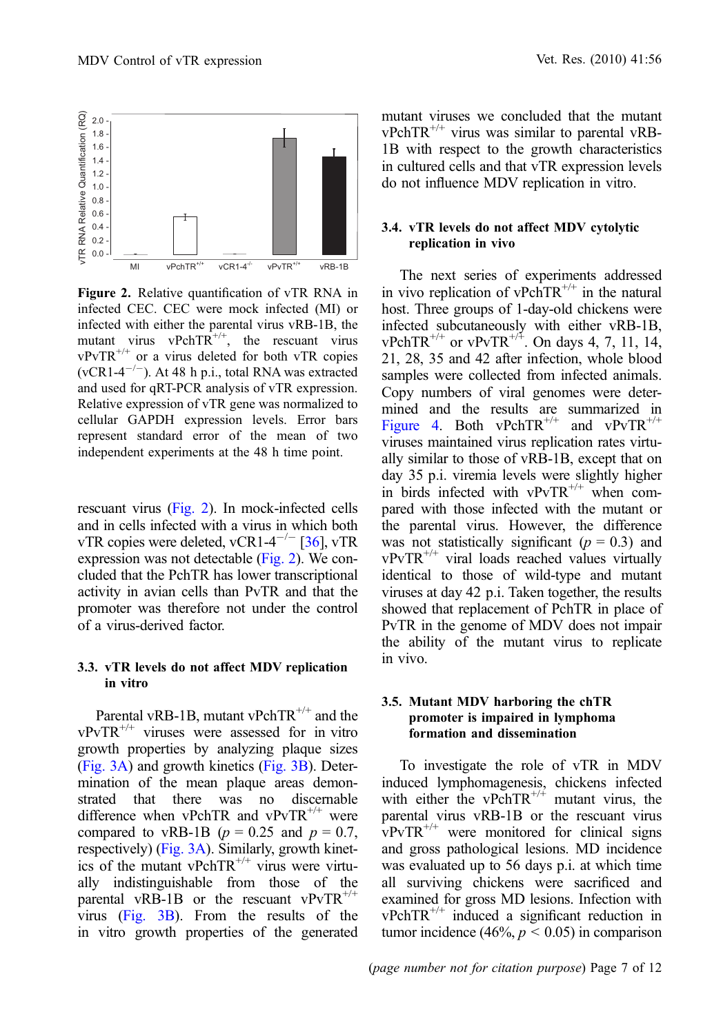<span id="page-7-0"></span>

Figure 2. Relative quantification of vTR RNA in infected CEC. CEC were mock infected (MI) or infected with either the parental virus vRB-1B, the mutant virus vPchTR<sup>+/+</sup>, the rescuant virus  $vPvTR^{+/+}$  or a virus deleted for both vTR copies  $(vCR1-4^{-/-})$ . At 48 h p.i., total RNA was extracted and used for qRT-PCR analysis of vTR expression. Relative expression of vTR gene was normalized to cellular GAPDH expression levels. Error bars represent standard error of the mean of two independent experiments at the 48 h time point.

rescuant virus (Fig. 2). In mock-infected cells and in cells infected with a virus in which both vTR copies were deleted, vCR1-4<sup>-/-</sup> [\[36](#page-12-0)], vTR expression was not detectable (Fig. 2). We concluded that the PchTR has lower transcriptional activity in avian cells than PvTR and that the promoter was therefore not under the control of a virus-derived factor.

#### 3.3. vTR levels do not affect MDV replication in vitro

Parental vRB-1B, mutant vPchTR<sup>+/+</sup> and the  $vPvTR^{+/+}$  viruses were assessed for in vitro growth properties by analyzing plaque sizes [\(Fig. 3A](#page-8-0)) and growth kinetics [\(Fig. 3B\)](#page-8-0). Determination of the mean plaque areas demonstrated that there was no discernable difference when vPchTR and vPvTR<sup>+/+</sup> were compared to vRB-1B ( $p = 0.25$  and  $p = 0.7$ , respectively) ([Fig. 3A](#page-8-0)). Similarly, growth kinetics of the mutant vPchTR<sup> $^{+/+}$ </sup> virus were virtually indistinguishable from those of the parental vRB-1B or the rescuant vPvTR<sup>+/+</sup> virus ([Fig. 3B\)](#page-8-0). From the results of the in vitro growth properties of the generated mutant viruses we concluded that the mutant  $vPchTR^{+/+}$  virus was similar to parental vRB-1B with respect to the growth characteristics in cultured cells and that vTR expression levels do not influence MDV replication in vitro.

#### 3.4. vTR levels do not affect MDV cytolytic replication in vivo

The next series of experiments addressed in vivo replication of vPchTR<sup> $^{+/+}$ </sup> in the natural host. Three groups of 1-day-old chickens were infected subcutaneously with either vRB-1B,  $vPchTR^{+/+}$  or  $vPvTR^{+/+}$ . On days 4, 7, 11, 14, 21, 28, 35 and 42 after infection, whole blood samples were collected from infected animals. Copy numbers of viral genomes were determined and the results are summarized in [Figure 4.](#page-9-0) Both vPchTR<sup>+/+</sup> and vPvTR<sup>+/+</sup> viruses maintained virus replication rates virtually similar to those of vRB-1B, except that on day 35 p.i. viremia levels were slightly higher in birds infected with  $vPvTR^{+/+}$  when compared with those infected with the mutant or the parental virus. However, the difference was not statistically significant  $(p = 0.3)$  and  $vPvTR^{+/+}$  viral loads reached values virtually identical to those of wild-type and mutant viruses at day 42 p.i. Taken together, the results showed that replacement of PchTR in place of PvTR in the genome of MDV does not impair the ability of the mutant virus to replicate in vivo.

#### 3.5. Mutant MDV harboring the chTR promoter is impaired in lymphoma formation and dissemination

To investigate the role of vTR in MDV induced lymphomagenesis, chickens infected with either the vPchTR<sup> $^{+/+}$ </sup> mutant virus, the parental virus vRB-1B or the rescuant virus  $vPvTR^{+/+}$  were monitored for clinical signs and gross pathological lesions. MD incidence was evaluated up to 56 days p.i. at which time all surviving chickens were sacrificed and examined for gross MD lesions. Infection with  $vPchTR^{+/+}$  induced a significant reduction in tumor incidence (46%,  $p < 0.05$ ) in comparison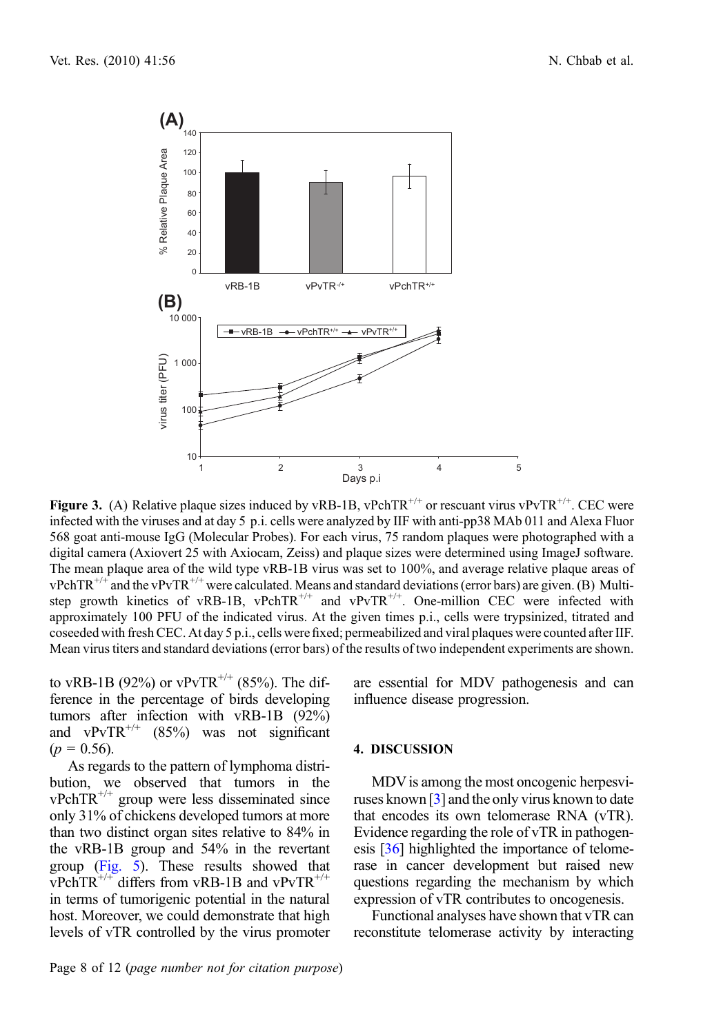<span id="page-8-0"></span>

**Figure 3.** (A) Relative plaque sizes induced by vRB-1B, vPchTR<sup>+/+</sup> or rescuant virus vPvTR<sup>+/+</sup>. CEC were infected with the viruses and at day 5 p.i. cells were analyzed by IIF with anti-pp38 MAb 011 and Alexa Fluor 568 goat anti-mouse IgG (Molecular Probes). For each virus, 75 random plaques were photographed with a digital camera (Axiovert 25 with Axiocam, Zeiss) and plaque sizes were determined using ImageJ software. The mean plaque area of the wild type vRB-1B virus was set to 100%, and average relative plaque areas of  $vPchTR^{+/+}$  and the  $vPvTR^{+/+}$  were calculated. Means and standard deviations (error bars) are given. (B) Multistep growth kinetics of vRB-1B, vPchTR<sup>+/+</sup> and vPvTR<sup>+/+</sup>. One-million CEC were infected with approximately 100 PFU of the indicated virus. At the given times p.i., cells were trypsinized, titrated and coseeded with fresh CEC. At day 5 p.i., cells were fixed; permeabilized and viral plaques were counted after IIF. Mean virus titers and standard deviations (error bars) of the results of two independent experiments are shown.

to vRB-1B (92%) or vPvTR<sup>+/+</sup> (85%). The difference in the percentage of birds developing tumors after infection with vRB-1B (92%) and vPvTR<sup>+/+</sup>  $(85%)$  was not significant  $(p = 0.56)$ .

As regards to the pattern of lymphoma distribution, we observed that tumors in the vPchTR+/+ group were less disseminated since only 31% of chickens developed tumors at more than two distinct organ sites relative to 84% in the vRB-1B group and 54% in the revertant group [\(Fig. 5](#page-10-0)). These results showed that vPchTR<sup>+/+</sup> differs from vRB-1B and vPvTR<sup>+/+</sup> in terms of tumorigenic potential in the natural host. Moreover, we could demonstrate that high levels of vTR controlled by the virus promoter are essential for MDV pathogenesis and can influence disease progression.

#### 4. DISCUSSION

MDV is among the most oncogenic herpesviruses known [\[3\]](#page-11-0) and the only virus known to date that encodes its own telomerase RNA (vTR). Evidence regarding the role of vTR in pathogenesis [[36\]](#page-12-0) highlighted the importance of telomerase in cancer development but raised new questions regarding the mechanism by which expression of vTR contributes to oncogenesis.

Functional analyses have shown that vTR can reconstitute telomerase activity by interacting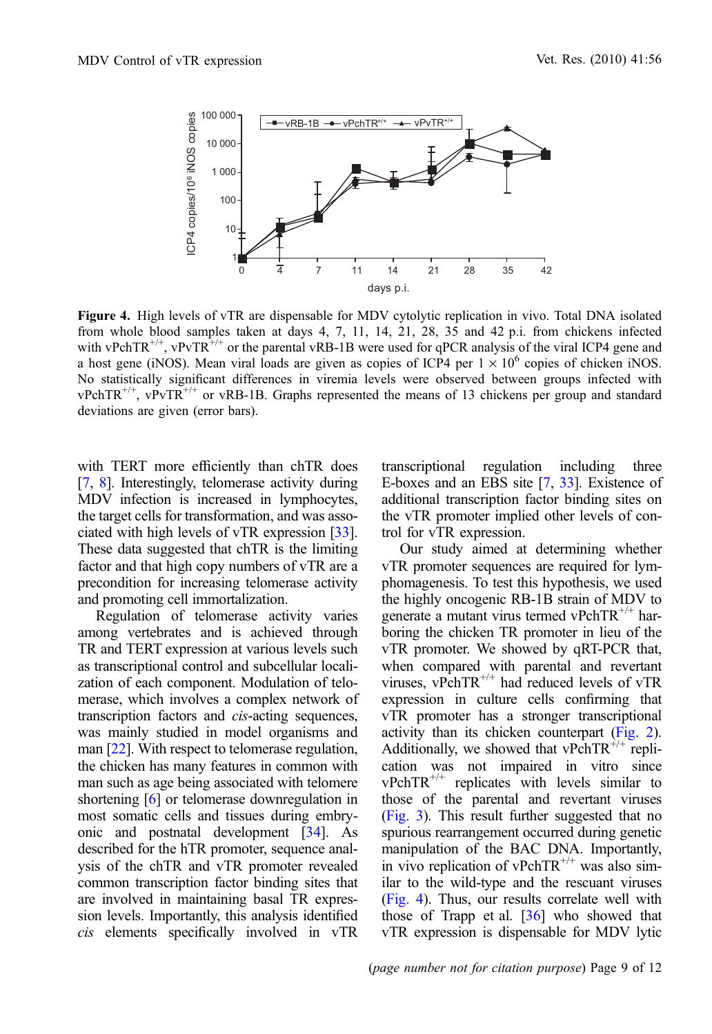<span id="page-9-0"></span>

Figure 4. High levels of vTR are dispensable for MDV cytolytic replication in vivo. Total DNA isolated from whole blood samples taken at days 4, 7, 11, 14, 21, 28, 35 and 42 p.i. from chickens infected with vPchTR<sup>+/+</sup>, vPvTR<sup>+/+</sup> or the parental vRB-1B were used for qPCR analysis of the viral ICP4 gene and a host gene (iNOS). Mean viral loads are given as copies of ICP4 per  $1 \times 10^6$  copies of chicken iNOS. No statistically significant differences in viremia levels were observed between groups infected with  $vPchTR^{+/+}$ ,  $vPvTR^{+/+}$  or  $vRB-1B$ . Graphs represented the means of 13 chickens per group and standard deviations are given (error bars).

with TERT more efficiently than chTR does [\[7,](#page-11-0) [8](#page-11-0)]. Interestingly, telomerase activity during MDV infection is increased in lymphocytes, the target cells for transformation, and was associated with high levels of vTR expression [\[33\]](#page-12-0). These data suggested that chTR is the limiting factor and that high copy numbers of vTR are a precondition for increasing telomerase activity and promoting cell immortalization.

Regulation of telomerase activity varies among vertebrates and is achieved through TR and TERT expression at various levels such as transcriptional control and subcellular localization of each component. Modulation of telomerase, which involves a complex network of transcription factors and cis-acting sequences, was mainly studied in model organisms and man [\[22\]](#page-12-0). With respect to telomerase regulation, the chicken has many features in common with man such as age being associated with telomere shortening [[6\]](#page-11-0) or telomerase downregulation in most somatic cells and tissues during embryonic and postnatal development [\[34\]](#page-12-0). As described for the hTR promoter, sequence analysis of the chTR and vTR promoter revealed common transcription factor binding sites that are involved in maintaining basal TR expression levels. Importantly, this analysis identified cis elements specifically involved in vTR

transcriptional regulation including three E-boxes and an EBS site [\[7,](#page-11-0) [33](#page-12-0)]. Existence of additional transcription factor binding sites on the vTR promoter implied other levels of control for vTR expression.

Our study aimed at determining whether vTR promoter sequences are required for lymphomagenesis. To test this hypothesis, we used the highly oncogenic RB-1B strain of MDV to generate a mutant virus termed vPchTR<sup> $^{+/+}$ </sup> harboring the chicken TR promoter in lieu of the vTR promoter. We showed by qRT-PCR that, when compared with parental and revertant viruses, vPchTR<sup>+/+</sup> had reduced levels of vTR expression in culture cells confirming that vTR promoter has a stronger transcriptional activity than its chicken counterpart ([Fig. 2\)](#page-7-0). Additionally, we showed that vPchTR<sup> $^{+/+}$ </sup> replication was not impaired in vitro since  $vPchTR^{+/+}$  replicates with levels similar to those of the parental and revertant viruses [\(Fig. 3](#page-8-0)). This result further suggested that no spurious rearrangement occurred during genetic manipulation of the BAC DNA. Importantly, in vivo replication of vPchTR<sup> $^{++}$ </sup> was also similar to the wild-type and the rescuant viruses (Fig. 4). Thus, our results correlate well with those of Trapp et al. [[36](#page-12-0)] who showed that vTR expression is dispensable for MDV lytic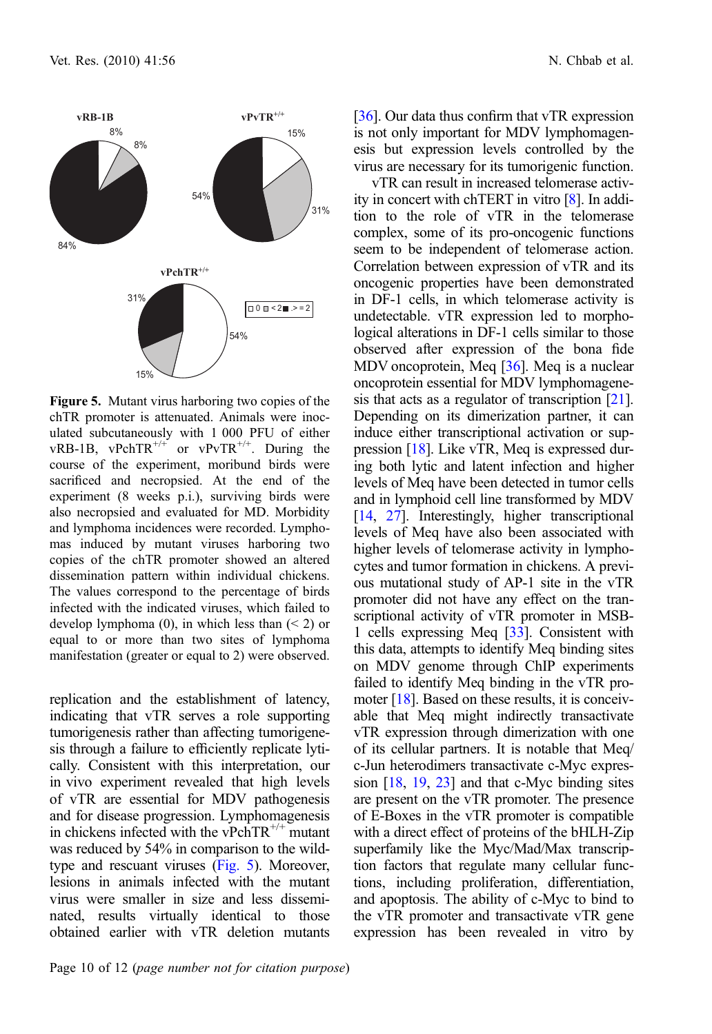<span id="page-10-0"></span>

Figure 5. Mutant virus harboring two copies of the chTR promoter is attenuated. Animals were inoculated subcutaneously with 1 000 PFU of either vRB-1B, vPchTR<sup>+/+</sup> or vPvTR<sup>+/+</sup>. During the course of the experiment, moribund birds were sacrificed and necropsied. At the end of the experiment (8 weeks p.i.), surviving birds were also necropsied and evaluated for MD. Morbidity and lymphoma incidences were recorded. Lymphomas induced by mutant viruses harboring two copies of the chTR promoter showed an altered dissemination pattern within individual chickens. The values correspond to the percentage of birds infected with the indicated viruses, which failed to develop lymphoma (0), in which less than (< 2) or equal to or more than two sites of lymphoma manifestation (greater or equal to 2) were observed.

replication and the establishment of latency, indicating that vTR serves a role supporting tumorigenesis rather than affecting tumorigenesis through a failure to efficiently replicate lytically. Consistent with this interpretation, our in vivo experiment revealed that high levels of vTR are essential for MDV pathogenesis and for disease progression. Lymphomagenesis in chickens infected with the vPchTR<sup> $^{+/+}$ </sup> mutant was reduced by 54% in comparison to the wildtype and rescuant viruses (Fig. 5). Moreover, lesions in animals infected with the mutant virus were smaller in size and less disseminated, results virtually identical to those obtained earlier with vTR deletion mutants

[[36](#page-12-0)]. Our data thus confirm that vTR expression is not only important for MDV lymphomagenesis but expression levels controlled by the virus are necessary for its tumorigenic function.

vTR can result in increased telomerase activity in concert with chTERT in vitro [[8\]](#page-11-0). In addition to the role of vTR in the telomerase complex, some of its pro-oncogenic functions seem to be independent of telomerase action. Correlation between expression of vTR and its oncogenic properties have been demonstrated in DF-1 cells, in which telomerase activity is undetectable. vTR expression led to morphological alterations in DF-1 cells similar to those observed after expression of the bona fide MDV oncoprotein, Meq [\[36](#page-12-0)]. Meq is a nuclear oncoprotein essential for MDV lymphomagenesis that acts as a regulator of transcription [\[21](#page-12-0)]. Depending on its dimerization partner, it can induce either transcriptional activation or suppression [\[18\]](#page-12-0). Like vTR, Meq is expressed during both lytic and latent infection and higher levels of Meq have been detected in tumor cells and in lymphoid cell line transformed by MDV [[14](#page-11-0), [27\]](#page-12-0). Interestingly, higher transcriptional levels of Meq have also been associated with higher levels of telomerase activity in lymphocytes and tumor formation in chickens. A previous mutational study of AP-1 site in the vTR promoter did not have any effect on the transcriptional activity of vTR promoter in MSB-1 cells expressing Meq [[33](#page-12-0)]. Consistent with this data, attempts to identify Meq binding sites on MDV genome through ChIP experiments failed to identify Meq binding in the vTR pro-moter [\[18\]](#page-12-0). Based on these results, it is conceivable that Meq might indirectly transactivate vTR expression through dimerization with one of its cellular partners. It is notable that Meq/ c-Jun heterodimers transactivate c-Myc expression [\[18,](#page-12-0) [19](#page-12-0), [23](#page-12-0)] and that c-Myc binding sites are present on the vTR promoter. The presence of E-Boxes in the vTR promoter is compatible with a direct effect of proteins of the bHLH-Zip superfamily like the Myc/Mad/Max transcription factors that regulate many cellular functions, including proliferation, differentiation, and apoptosis. The ability of c-Myc to bind to the vTR promoter and transactivate vTR gene expression has been revealed in vitro by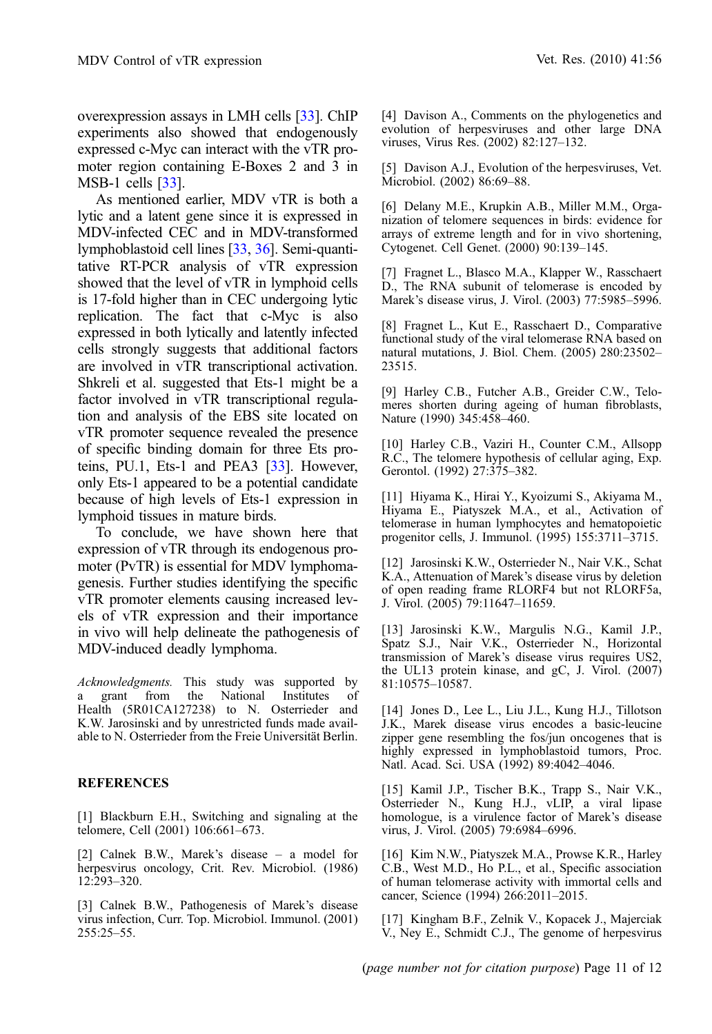<span id="page-11-0"></span>overexpression assays in LMH cells [\[33\]](#page-12-0). ChIP experiments also showed that endogenously expressed c-Myc can interact with the vTR promoter region containing E-Boxes 2 and 3 in MSB-1 cells [[33](#page-12-0)].

As mentioned earlier, MDV vTR is both a lytic and a latent gene since it is expressed in MDV-infected CEC and in MDV-transformed lymphoblastoid cell lines [\[33,](#page-12-0) [36](#page-12-0)]. Semi-quantitative RT-PCR analysis of vTR expression showed that the level of vTR in lymphoid cells is 17-fold higher than in CEC undergoing lytic replication. The fact that c-Myc is also expressed in both lytically and latently infected cells strongly suggests that additional factors are involved in vTR transcriptional activation. Shkreli et al. suggested that Ets-1 might be a factor involved in vTR transcriptional regulation and analysis of the EBS site located on vTR promoter sequence revealed the presence of specific binding domain for three Ets pro-teins, PU.1, Ets-1 and PEA3 [[33](#page-12-0)]. However, only Ets-1 appeared to be a potential candidate because of high levels of Ets-1 expression in lymphoid tissues in mature birds.

To conclude, we have shown here that expression of vTR through its endogenous promoter (PvTR) is essential for MDV lymphomagenesis. Further studies identifying the specific vTR promoter elements causing increased levels of vTR expression and their importance in vivo will help delineate the pathogenesis of MDV-induced deadly lymphoma.

Acknowledgments. This study was supported by<br>a grant from the National Institutes of a grant from the National Institutes of Health (5R01CA127238) to N. Osterrieder and K.W. Jarosinski and by unrestricted funds made available to N. Osterrieder from the Freie Universität Berlin.

#### REFERENCES

[1] Blackburn E.H., Switching and signaling at the telomere, Cell (2001) 106:661–673.

[2] Calnek B.W., Marek's disease – a model for herpesvirus oncology, Crit. Rev. Microbiol. (1986) 12:293–320.

[3] Calnek B.W., Pathogenesis of Marek's disease virus infection, Curr. Top. Microbiol. Immunol. (2001) 255:25–55.

[4] Davison A., Comments on the phylogenetics and evolution of herpesviruses and other large DNA viruses, Virus Res. (2002) 82:127–132.

[5] Davison A.J., Evolution of the herpesviruses, Vet. Microbiol. (2002) 86:69–88.

[6] Delany M.E., Krupkin A.B., Miller M.M., Organization of telomere sequences in birds: evidence for arrays of extreme length and for in vivo shortening, Cytogenet. Cell Genet. (2000) 90:139–145.

[7] Fragnet L., Blasco M.A., Klapper W., Rasschaert D., The RNA subunit of telomerase is encoded by Marek's disease virus, J. Virol. (2003) 77:5985–5996.

[8] Fragnet L., Kut E., Rasschaert D., Comparative functional study of the viral telomerase RNA based on natural mutations, J. Biol. Chem. (2005) 280:23502– 23515.

[9] Harley C.B., Futcher A.B., Greider C.W., Telomeres shorten during ageing of human fibroblasts, Nature (1990) 345:458–460.

[10] Harley C.B., Vaziri H., Counter C.M., Allsopp R.C., The telomere hypothesis of cellular aging, Exp. Gerontol. (1992) 27:375–382.

[11] Hiyama K., Hirai Y., Kyoizumi S., Akiyama M., Hiyama E., Piatyszek M.A., et al., Activation of telomerase in human lymphocytes and hematopoietic progenitor cells, J. Immunol. (1995) 155:3711–3715.

[12] Jarosinski K.W., Osterrieder N., Nair V.K., Schat K.A., Attenuation of Marek's disease virus by deletion of open reading frame RLORF4 but not RLORF5a, J. Virol. (2005) 79:11647–11659.

[13] Jarosinski K.W., Margulis N.G., Kamil J.P., Spatz S.J., Nair V.K., Osterrieder N., Horizontal transmission of Marek's disease virus requires US2, the UL13 protein kinase, and gC, J. Virol. (2007) 81:10575–10587.

[14] Jones D., Lee L., Liu J.L., Kung H.J., Tillotson J.K., Marek disease virus encodes a basic-leucine zipper gene resembling the fos/jun oncogenes that is highly expressed in lymphoblastoid tumors, Proc. Natl. Acad. Sci. USA (1992) 89:4042–4046.

[15] Kamil J.P., Tischer B.K., Trapp S., Nair V.K., Osterrieder N., Kung H.J., vLIP, a viral lipase homologue, is a virulence factor of Marek's disease virus, J. Virol. (2005) 79:6984–6996.

[16] Kim N.W., Piatyszek M.A., Prowse K.R., Harley C.B., West M.D., Ho P.L., et al., Specific association of human telomerase activity with immortal cells and cancer, Science (1994) 266:2011–2015.

[17] Kingham B.F., Zelnik V., Kopacek J., Majerciak V., Ney E., Schmidt C.J., The genome of herpesvirus

(page number not for citation purpose) Page 11 of 12